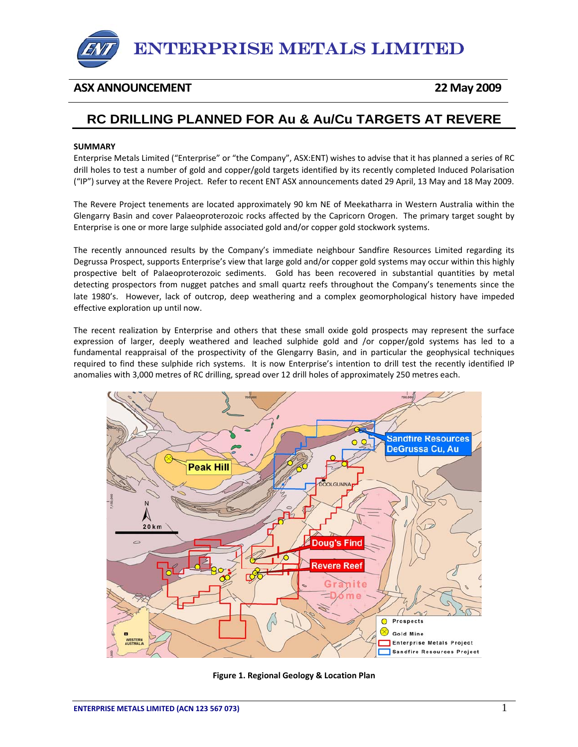

## **ASX ANNOUNCEMENT 22 May 2009**

## **RC DRILLING PLANNED FOR Au & Au/Cu TARGETS AT REVERE**

## **SUMMARY**

Enterprise Metals Limited ("Enterprise" or "the Company", ASX:ENT) wishes to advise that it has planned a series of RC drill holes to test a number of gold and copper/gold targets identified by its recently completed Induced Polarisation ("IP") survey at the Revere Project. Refer to recent ENT ASX announcements dated 29 April, 13 May and 18 May 2009.

The Revere Project tenements are located approximately 90 km NE of Meekatharra in Western Australia within the Glengarry Basin and cover Palaeoproterozoic rocks affected by the Capricorn Orogen. The primary target sought by Enterprise is one or more large sulphide associated gold and/or copper gold stockwork systems.

The recently announced results by the Company's immediate neighbour Sandfire Resources Limited regarding its Degrussa Prospect, supports Enterprise's view that large gold and/or copper gold systems may occur within this highly prospective belt of Palaeoproterozoic sediments. Gold has been recovered in substantial quantities by metal detecting prospectors from nugget patches and small quartz reefs throughout the Company's tenements since the late 1980's. However, lack of outcrop, deep weathering and a complex geomorphological history have impeded effective exploration up until now.

The recent realization by Enterprise and others that these small oxide gold prospects may represent the surface expression of larger, deeply weathered and leached sulphide gold and /or copper/gold systems has led to a fundamental reappraisal of the prospectivity of the Glengarry Basin, and in particular the geophysical techniques required to find these sulphide rich systems. It is now Enterprise's intention to drill test the recently identified IP anomalies with 3,000 metres of RC drilling, spread over 12 drill holes of approximately 250 metres each.



**Figure 1. Regional Geology & Location Plan**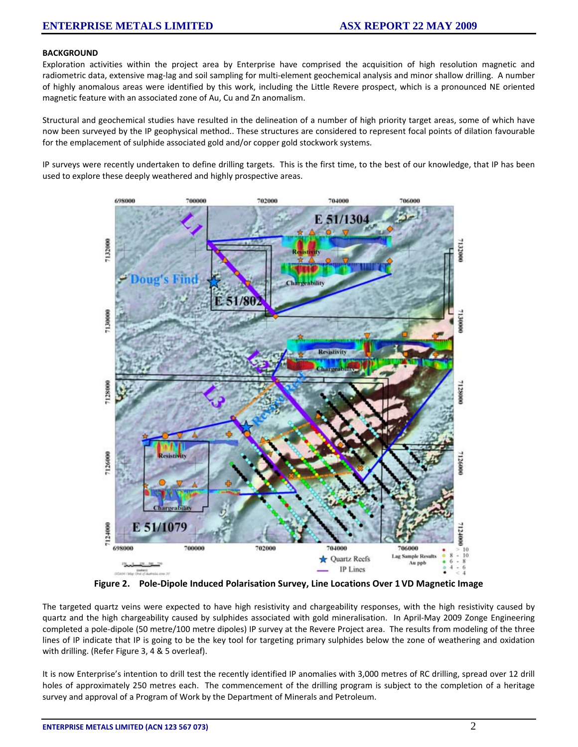## **BACKGROUND**

Exploration activities within the project area by Enterprise have comprised the acquisition of high resolution magnetic and radiometric data, extensive mag-lag and soil sampling for multi-element geochemical analysis and minor shallow drilling. A number of highly anomalous areas were identified by this work, including the Little Revere prospect, which is a pronounced NE oriented magnetic feature with an associated zone of Au, Cu and Zn anomalism.

Structural and geochemical studies have resulted in the delineation of a number of high priority target areas, some of which have now been surveyed by the IP geophysical method.. These structures are considered to represent focal points of dilation favourable for the emplacement of sulphide associated gold and/or copper gold stockwork systems.

IP surveys were recently undertaken to define drilling targets. This is the first time, to the best of our knowledge, that IP has been used to explore these deeply weathered and highly prospective areas.



**Figure 2. Pole‐Dipole Induced Polarisation Survey, Line Locations Over 1VD Magnetic Image**

The targeted quartz veins were expected to have high resistivity and chargeability responses, with the high resistivity caused by quartz and the high chargeability caused by sulphides associated with gold mineralisation. In April‐May 2009 Zonge Engineering completed a pole‐dipole (50 metre/100 metre dipoles) IP survey at the Revere Project area. The results from modeling of the three lines of IP indicate that IP is going to be the key tool for targeting primary sulphides below the zone of weathering and oxidation with drilling. (Refer Figure 3, 4 & 5 overleaf).

It is now Enterprise's intention to drill test the recently identified IP anomalies with 3,000 metres of RC drilling, spread over 12 drill holes of approximately 250 metres each. The commencement of the drilling program is subject to the completion of a heritage survey and approval of a Program of Work by the Department of Minerals and Petroleum.